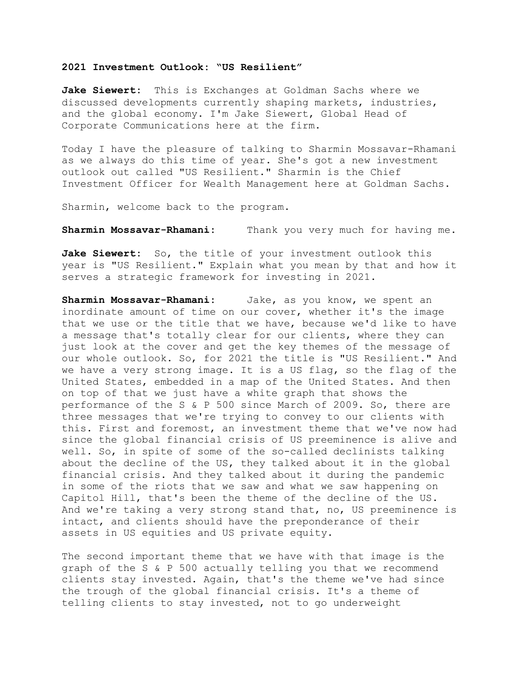## **2021 Investment Outlook: "US Resilient"**

**Jake Siewert:** This is Exchanges at Goldman Sachs where we discussed developments currently shaping markets, industries, and the global economy. I'm Jake Siewert, Global Head of Corporate Communications here at the firm.

Today I have the pleasure of talking to Sharmin Mossavar-Rhamani as we always do this time of year. She's got a new investment outlook out called "US Resilient." Sharmin is the Chief Investment Officer for Wealth Management here at Goldman Sachs.

Sharmin, welcome back to the program.

**Sharmin Mossavar-Rhamani:** Thank you very much for having me.

Jake Siewert: So, the title of your investment outlook this year is "US Resilient." Explain what you mean by that and how it serves a strategic framework for investing in 2021.

**Sharmin Mossavar-Rhamani:** Jake, as you know, we spent an inordinate amount of time on our cover, whether it's the image that we use or the title that we have, because we'd like to have a message that's totally clear for our clients, where they can just look at the cover and get the key themes of the message of our whole outlook. So, for 2021 the title is "US Resilient." And we have a very strong image. It is a US flag, so the flag of the United States, embedded in a map of the United States. And then on top of that we just have a white graph that shows the performance of the S & P 500 since March of 2009. So, there are three messages that we're trying to convey to our clients with this. First and foremost, an investment theme that we've now had since the global financial crisis of US preeminence is alive and well. So, in spite of some of the so-called declinists talking about the decline of the US, they talked about it in the global financial crisis. And they talked about it during the pandemic in some of the riots that we saw and what we saw happening on Capitol Hill, that's been the theme of the decline of the US. And we're taking a very strong stand that, no, US preeminence is intact, and clients should have the preponderance of their assets in US equities and US private equity.

The second important theme that we have with that image is the graph of the S & P 500 actually telling you that we recommend clients stay invested. Again, that's the theme we've had since the trough of the global financial crisis. It's a theme of telling clients to stay invested, not to go underweight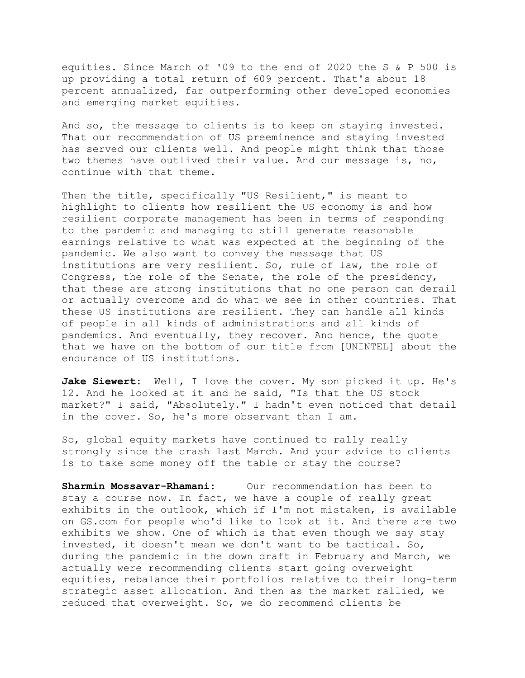equities. Since March of '09 to the end of 2020 the S & P 500 is up providing a total return of 609 percent. That's about 18 percent annualized, far outperforming other developed economies and emerging market equities.

And so, the message to clients is to keep on staying invested. That our recommendation of US preeminence and staying invested has served our clients well. And people might think that those two themes have outlived their value. And our message is, no, continue with that theme.

Then the title, specifically "US Resilient," is meant to highlight to clients how resilient the US economy is and how resilient corporate management has been in terms of responding to the pandemic and managing to still generate reasonable earnings relative to what was expected at the beginning of the pandemic. We also want to convey the message that US institutions are very resilient. So, rule of law, the role of Congress, the role of the Senate, the role of the presidency, that these are strong institutions that no one person can derail or actually overcome and do what we see in other countries. That these US institutions are resilient. They can handle all kinds of people in all kinds of administrations and all kinds of pandemics. And eventually, they recover. And hence, the quote that we have on the bottom of our title from [UNINTEL] about the endurance of US institutions.

Jake Siewert: Well, I love the cover. My son picked it up. He's 12. And he looked at it and he said, "Is that the US stock market?" I said, "Absolutely." I hadn't even noticed that detail in the cover. So, he's more observant than I am.

So, global equity markets have continued to rally really strongly since the crash last March. And your advice to clients is to take some money off the table or stay the course?

**Sharmin Mossavar-Rhamani:** Our recommendation has been to stay a course now. In fact, we have a couple of really great exhibits in the outlook, which if I'm not mistaken, is available on GS.com for people who'd like to look at it. And there are two exhibits we show. One of which is that even though we say stay invested, it doesn't mean we don't want to be tactical. So, during the pandemic in the down draft in February and March, we actually were recommending clients start going overweight equities, rebalance their portfolios relative to their long-term strategic asset allocation. And then as the market rallied, we reduced that overweight. So, we do recommend clients be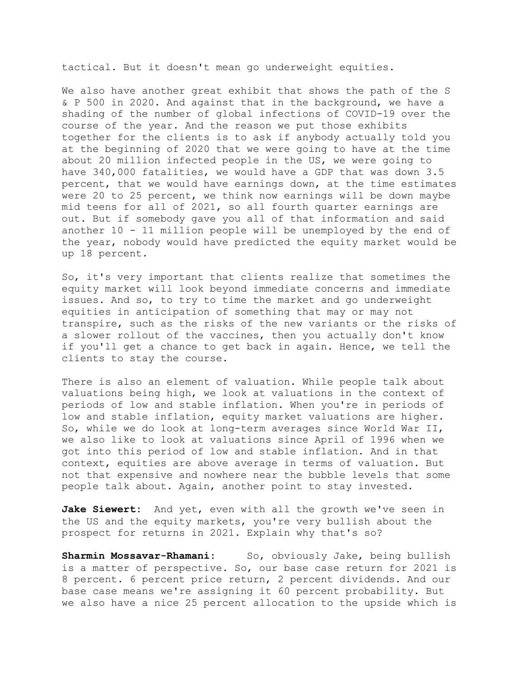tactical. But it doesn't mean go underweight equities.

We also have another great exhibit that shows the path of the S & P 500 in 2020. And against that in the background, we have a shading of the number of global infections of COVID-19 over the course of the year. And the reason we put those exhibits together for the clients is to ask if anybody actually told you at the beginning of 2020 that we were going to have at the time about 20 million infected people in the US, we were going to have 340,000 fatalities, we would have a GDP that was down 3.5 percent, that we would have earnings down, at the time estimates were 20 to 25 percent, we think now earnings will be down maybe mid teens for all of 2021, so all fourth quarter earnings are out. But if somebody gave you all of that information and said another 10 - 11 million people will be unemployed by the end of the year, nobody would have predicted the equity market would be up 18 percent.

So, it's very important that clients realize that sometimes the equity market will look beyond immediate concerns and immediate issues. And so, to try to time the market and go underweight equities in anticipation of something that may or may not transpire, such as the risks of the new variants or the risks of a slower rollout of the vaccines, then you actually don't know if you'll get a chance to get back in again. Hence, we tell the clients to stay the course.

There is also an element of valuation. While people talk about valuations being high, we look at valuations in the context of periods of low and stable inflation. When you're in periods of low and stable inflation, equity market valuations are higher. So, while we do look at long-term averages since World War II, we also like to look at valuations since April of 1996 when we got into this period of low and stable inflation. And in that context, equities are above average in terms of valuation. But not that expensive and nowhere near the bubble levels that some people talk about. Again, another point to stay invested.

**Jake Siewert:** And yet, even with all the growth we've seen in the US and the equity markets, you're very bullish about the prospect for returns in 2021. Explain why that's so?

**Sharmin Mossavar-Rhamani:** So, obviously Jake, being bullish is a matter of perspective. So, our base case return for 2021 is 8 percent. 6 percent price return, 2 percent dividends. And our base case means we're assigning it 60 percent probability. But we also have a nice 25 percent allocation to the upside which is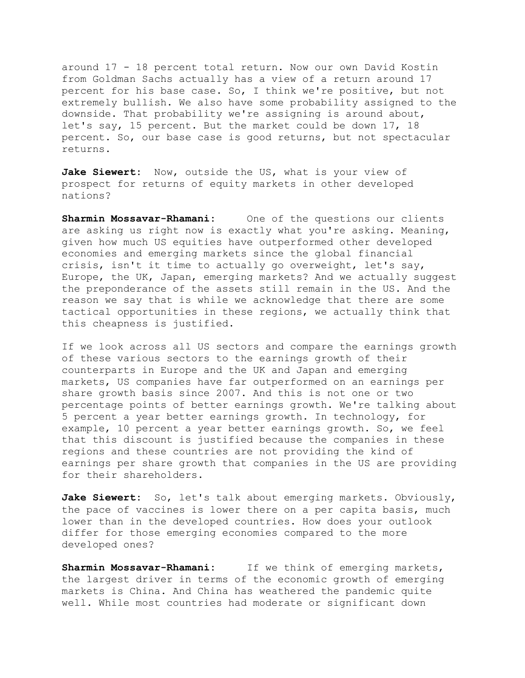around 17 - 18 percent total return. Now our own David Kostin from Goldman Sachs actually has a view of a return around 17 percent for his base case. So, I think we're positive, but not extremely bullish. We also have some probability assigned to the downside. That probability we're assigning is around about, let's say, 15 percent. But the market could be down 17, 18 percent. So, our base case is good returns, but not spectacular returns.

Jake Siewert: Now, outside the US, what is your view of prospect for returns of equity markets in other developed nations?

**Sharmin Mossavar-Rhamani:** One of the questions our clients are asking us right now is exactly what you're asking. Meaning, given how much US equities have outperformed other developed economies and emerging markets since the global financial crisis, isn't it time to actually go overweight, let's say, Europe, the UK, Japan, emerging markets? And we actually suggest the preponderance of the assets still remain in the US. And the reason we say that is while we acknowledge that there are some tactical opportunities in these regions, we actually think that this cheapness is justified.

If we look across all US sectors and compare the earnings growth of these various sectors to the earnings growth of their counterparts in Europe and the UK and Japan and emerging markets, US companies have far outperformed on an earnings per share growth basis since 2007. And this is not one or two percentage points of better earnings growth. We're talking about 5 percent a year better earnings growth. In technology, for example, 10 percent a year better earnings growth. So, we feel that this discount is justified because the companies in these regions and these countries are not providing the kind of earnings per share growth that companies in the US are providing for their shareholders.

**Jake Siewert:** So, let's talk about emerging markets. Obviously, the pace of vaccines is lower there on a per capita basis, much lower than in the developed countries. How does your outlook differ for those emerging economies compared to the more developed ones?

**Sharmin Mossavar-Rhamani:** If we think of emerging markets, the largest driver in terms of the economic growth of emerging markets is China. And China has weathered the pandemic quite well. While most countries had moderate or significant down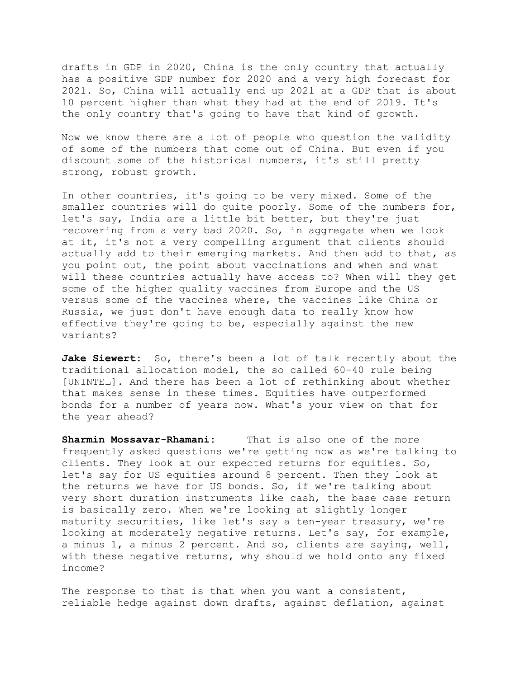drafts in GDP in 2020, China is the only country that actually has a positive GDP number for 2020 and a very high forecast for 2021. So, China will actually end up 2021 at a GDP that is about 10 percent higher than what they had at the end of 2019. It's the only country that's going to have that kind of growth.

Now we know there are a lot of people who question the validity of some of the numbers that come out of China. But even if you discount some of the historical numbers, it's still pretty strong, robust growth.

In other countries, it's going to be very mixed. Some of the smaller countries will do quite poorly. Some of the numbers for, let's say, India are a little bit better, but they're just recovering from a very bad 2020. So, in aggregate when we look at it, it's not a very compelling argument that clients should actually add to their emerging markets. And then add to that, as you point out, the point about vaccinations and when and what will these countries actually have access to? When will they get some of the higher quality vaccines from Europe and the US versus some of the vaccines where, the vaccines like China or Russia, we just don't have enough data to really know how effective they're going to be, especially against the new variants?

**Jake Siewert:** So, there's been a lot of talk recently about the traditional allocation model, the so called 60-40 rule being [UNINTEL]. And there has been a lot of rethinking about whether that makes sense in these times. Equities have outperformed bonds for a number of years now. What's your view on that for the year ahead?

**Sharmin Mossavar-Rhamani:** That is also one of the more frequently asked questions we're getting now as we're talking to clients. They look at our expected returns for equities. So, let's say for US equities around 8 percent. Then they look at the returns we have for US bonds. So, if we're talking about very short duration instruments like cash, the base case return is basically zero. When we're looking at slightly longer maturity securities, like let's say a ten-year treasury, we're looking at moderately negative returns. Let's say, for example, a minus 1, a minus 2 percent. And so, clients are saying, well, with these negative returns, why should we hold onto any fixed income?

The response to that is that when you want a consistent, reliable hedge against down drafts, against deflation, against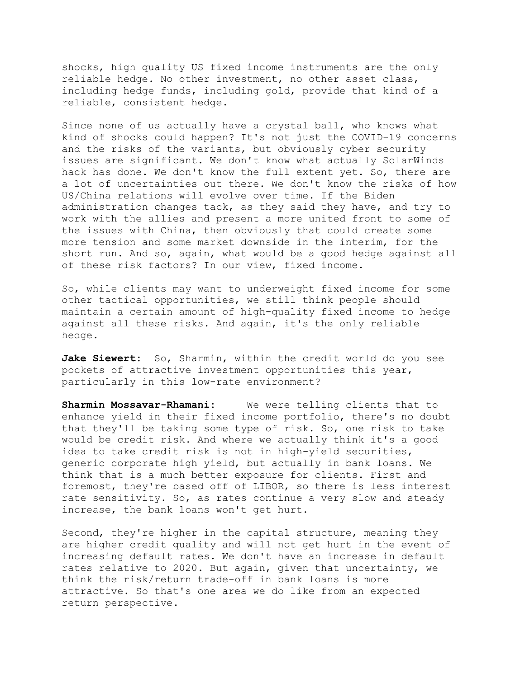shocks, high quality US fixed income instruments are the only reliable hedge. No other investment, no other asset class, including hedge funds, including gold, provide that kind of a reliable, consistent hedge.

Since none of us actually have a crystal ball, who knows what kind of shocks could happen? It's not just the COVID-19 concerns and the risks of the variants, but obviously cyber security issues are significant. We don't know what actually SolarWinds hack has done. We don't know the full extent yet. So, there are a lot of uncertainties out there. We don't know the risks of how US/China relations will evolve over time. If the Biden administration changes tack, as they said they have, and try to work with the allies and present a more united front to some of the issues with China, then obviously that could create some more tension and some market downside in the interim, for the short run. And so, again, what would be a good hedge against all of these risk factors? In our view, fixed income.

So, while clients may want to underweight fixed income for some other tactical opportunities, we still think people should maintain a certain amount of high-quality fixed income to hedge against all these risks. And again, it's the only reliable hedge.

**Jake Siewert:** So, Sharmin, within the credit world do you see pockets of attractive investment opportunities this year, particularly in this low-rate environment?

**Sharmin Mossavar-Rhamani:** We were telling clients that to enhance yield in their fixed income portfolio, there's no doubt that they'll be taking some type of risk. So, one risk to take would be credit risk. And where we actually think it's a good idea to take credit risk is not in high-yield securities, generic corporate high yield, but actually in bank loans. We think that is a much better exposure for clients. First and foremost, they're based off of LIBOR, so there is less interest rate sensitivity. So, as rates continue a very slow and steady increase, the bank loans won't get hurt.

Second, they're higher in the capital structure, meaning they are higher credit quality and will not get hurt in the event of increasing default rates. We don't have an increase in default rates relative to 2020. But again, given that uncertainty, we think the risk/return trade-off in bank loans is more attractive. So that's one area we do like from an expected return perspective.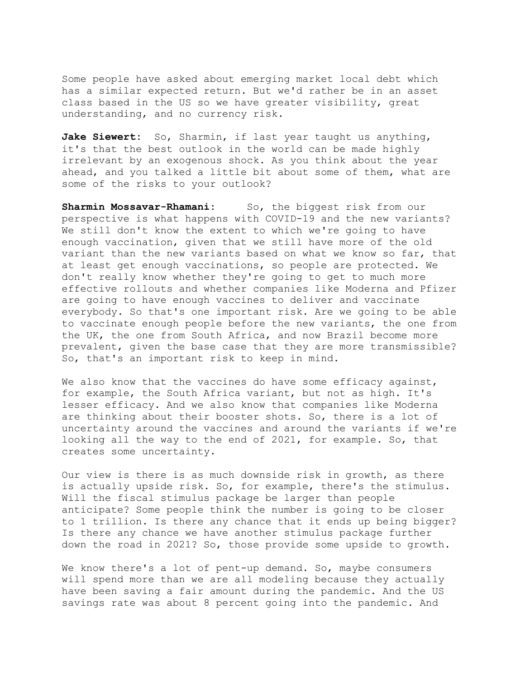Some people have asked about emerging market local debt which has a similar expected return. But we'd rather be in an asset class based in the US so we have greater visibility, great understanding, and no currency risk.

**Jake Siewert:** So, Sharmin, if last year taught us anything, it's that the best outlook in the world can be made highly irrelevant by an exogenous shock. As you think about the year ahead, and you talked a little bit about some of them, what are some of the risks to your outlook?

Sharmin Mossavar-Rhamani: So, the biggest risk from our perspective is what happens with COVID-19 and the new variants? We still don't know the extent to which we're going to have enough vaccination, given that we still have more of the old variant than the new variants based on what we know so far, that at least get enough vaccinations, so people are protected. We don't really know whether they're going to get to much more effective rollouts and whether companies like Moderna and Pfizer are going to have enough vaccines to deliver and vaccinate everybody. So that's one important risk. Are we going to be able to vaccinate enough people before the new variants, the one from the UK, the one from South Africa, and now Brazil become more prevalent, given the base case that they are more transmissible? So, that's an important risk to keep in mind.

We also know that the vaccines do have some efficacy against, for example, the South Africa variant, but not as high. It's lesser efficacy. And we also know that companies like Moderna are thinking about their booster shots. So, there is a lot of uncertainty around the vaccines and around the variants if we're looking all the way to the end of 2021, for example. So, that creates some uncertainty.

Our view is there is as much downside risk in growth, as there is actually upside risk. So, for example, there's the stimulus. Will the fiscal stimulus package be larger than people anticipate? Some people think the number is going to be closer to 1 trillion. Is there any chance that it ends up being bigger? Is there any chance we have another stimulus package further down the road in 2021? So, those provide some upside to growth.

We know there's a lot of pent-up demand. So, maybe consumers will spend more than we are all modeling because they actually have been saving a fair amount during the pandemic. And the US savings rate was about 8 percent going into the pandemic. And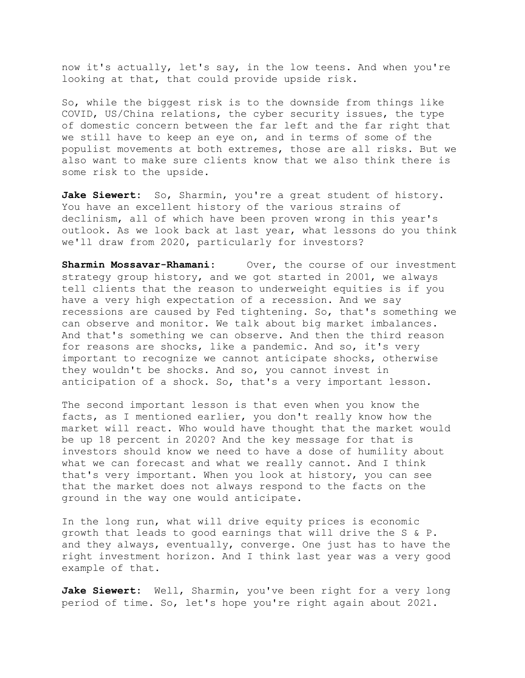now it's actually, let's say, in the low teens. And when you're looking at that, that could provide upside risk.

So, while the biggest risk is to the downside from things like COVID, US/China relations, the cyber security issues, the type of domestic concern between the far left and the far right that we still have to keep an eye on, and in terms of some of the populist movements at both extremes, those are all risks. But we also want to make sure clients know that we also think there is some risk to the upside.

Jake Siewert: So, Sharmin, you're a great student of history. You have an excellent history of the various strains of declinism, all of which have been proven wrong in this year's outlook. As we look back at last year, what lessons do you think we'll draw from 2020, particularly for investors?

**Sharmin Mossavar-Rhamani:** Over, the course of our investment strategy group history, and we got started in 2001, we always tell clients that the reason to underweight equities is if you have a very high expectation of a recession. And we say recessions are caused by Fed tightening. So, that's something we can observe and monitor. We talk about big market imbalances. And that's something we can observe. And then the third reason for reasons are shocks, like a pandemic. And so, it's very important to recognize we cannot anticipate shocks, otherwise they wouldn't be shocks. And so, you cannot invest in anticipation of a shock. So, that's a very important lesson.

The second important lesson is that even when you know the facts, as I mentioned earlier, you don't really know how the market will react. Who would have thought that the market would be up 18 percent in 2020? And the key message for that is investors should know we need to have a dose of humility about what we can forecast and what we really cannot. And I think that's very important. When you look at history, you can see that the market does not always respond to the facts on the ground in the way one would anticipate.

In the long run, what will drive equity prices is economic growth that leads to good earnings that will drive the S & P. and they always, eventually, converge. One just has to have the right investment horizon. And I think last year was a very good example of that.

**Jake Siewert:** Well, Sharmin, you've been right for a very long period of time. So, let's hope you're right again about 2021.